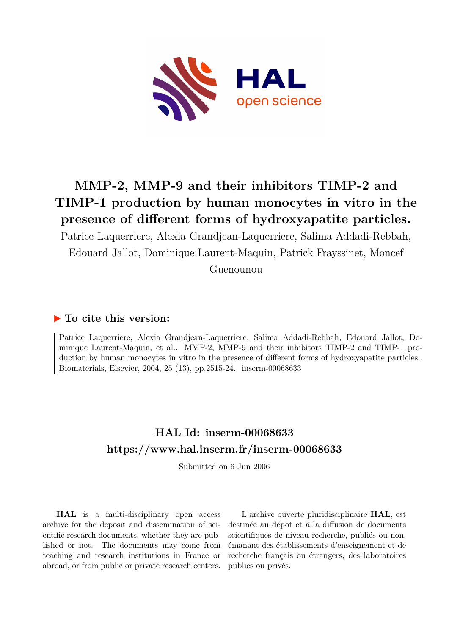

# **MMP-2, MMP-9 and their inhibitors TIMP-2 and TIMP-1 production by human monocytes in vitro in the presence of different forms of hydroxyapatite particles.**

Patrice Laquerriere, Alexia Grandjean-Laquerriere, Salima Addadi-Rebbah, Edouard Jallot, Dominique Laurent-Maquin, Patrick Frayssinet, Moncef

Guenounou

# **To cite this version:**

Patrice Laquerriere, Alexia Grandjean-Laquerriere, Salima Addadi-Rebbah, Edouard Jallot, Dominique Laurent-Maquin, et al.. MMP-2, MMP-9 and their inhibitors TIMP-2 and TIMP-1 production by human monocytes in vitro in the presence of different forms of hydroxyapatite particles.. Biomaterials, Elsevier, 2004, 25 (13), pp.2515-24. inserm-00068633

# **HAL Id: inserm-00068633 <https://www.hal.inserm.fr/inserm-00068633>**

Submitted on 6 Jun 2006

**HAL** is a multi-disciplinary open access archive for the deposit and dissemination of scientific research documents, whether they are published or not. The documents may come from teaching and research institutions in France or abroad, or from public or private research centers.

L'archive ouverte pluridisciplinaire **HAL**, est destinée au dépôt et à la diffusion de documents scientifiques de niveau recherche, publiés ou non, émanant des établissements d'enseignement et de recherche français ou étrangers, des laboratoires publics ou privés.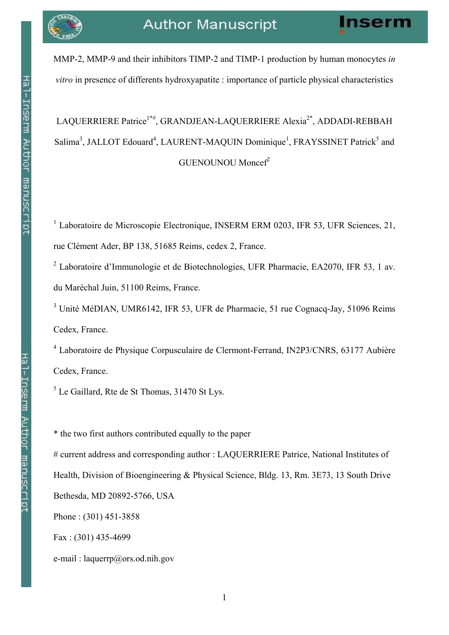MMP-2, MMP-9 and their inhibitors TIMP-2 and TIMP-1 production by human monocytes in vitro in presence of differents hydroxyapatite : importance of particle physical characteristics

# LAQUERRIERE Patrice<sup>1\*#</sup>, GRANDJEAN-LAQUERRIERE Alexia<sup>2\*</sup>, ADDADI-REBBAH Salima<sup>3</sup>, JALLOT Edouard<sup>4</sup>, LAURENT-MAQUIN Dominique<sup>1</sup>, FRAYSSINET Patrick<sup>5</sup> and GUENOUNOU Moncef<sup>2</sup>

<sup>1</sup> Laboratoire de Microscopie Electronique, INSERM ERM 0203, IFR 53, UFR Sciences, 21, rue Clément Ader, BP 138, 51685 Reims, cedex 2, France.

<sup>2</sup> Laboratoire d'Immunologie et de Biotechnologies, UFR Pharmacie, EA2070, IFR 53, 1 av. du Maréchal Juin, 51100 Reims, France.

<sup>3</sup> Unité MéDIAN, UMR6142, IFR 53, UFR de Pharmacie, 51 rue Cognacq-Jay, 51096 Reims Cedex, France.

<sup>4</sup> Laboratoire de Physique Corpusculaire de Clermont-Ferrand, IN2P3/CNRS, 63177 Aubière Cedex, France.

 $<sup>5</sup>$  Le Gaillard, Rte de St Thomas, 31470 St Lys.</sup>

\* the two first authors contributed equally to the paper

# current address and corresponding author : LAQUERRIERE Patrice, National Institutes of Health, Division of Bioengineering & Physical Science, Bldg. 13, Rm. 3E73, 13 South Drive Bethesda, MD 20892-5766, USA

Phone : (301) 451-3858

Fax : (301) 435-4699

e-mail : laquerrp@ors.od.nih.gov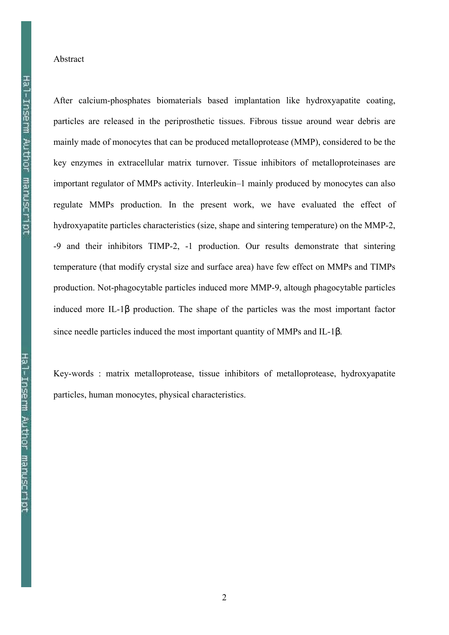### Abstract

After calcium-phosphates biomaterials based implantation like hydroxyapatite coating, particles are released in the periprosthetic tissues. Fibrous tissue around wear debris are mainly made of monocytes that can be produced metalloprotease (MMP), considered to be the key enzymes in extracellular matrix turnover. Tissue inhibitors of metalloproteinases are important regulator of MMPs activity. Interleukin–1 mainly produced by monocytes can also regulate MMPs production. In the present work, we have evaluated the effect of hydroxyapatite particles characteristics (size, shape and sintering temperature) on the MMP-2, -9 and their inhibitors TIMP-2, -1 production. Our results demonstrate that sintering temperature (that modify crystal size and surface area) have few effect on MMPs and TIMPs production. Not-phagocytable particles induced more MMP-9, altough phagocytable particles induced more IL-1β production. The shape of the particles was the most important factor since needle particles induced the most important quantity of MMPs and IL-1β.

Key-words : matrix metalloprotease, tissue inhibitors of metalloprotease, hydroxyapatite particles, human monocytes, physical characteristics.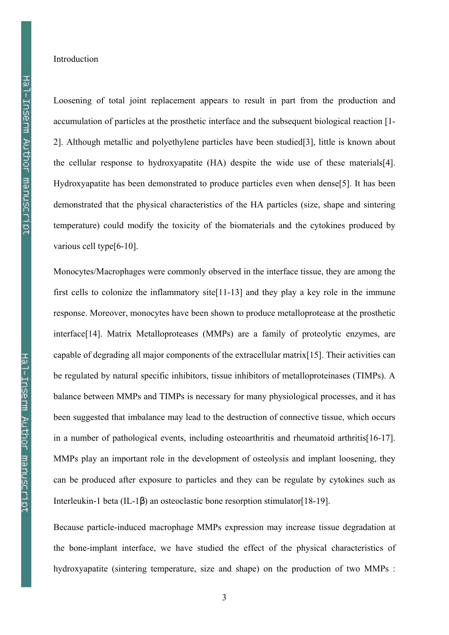#### Introduction

Loosening of total joint replacement appears to result in part from the production and accumulation of particles at the prosthetic interface and the subsequent biological reaction [1- 2]. Although metallic and polyethylene particles have been studied[3], little is known about the cellular response to hydroxyapatite (HA) despite the wide use of these materials[4]. Hydroxyapatite has been demonstrated to produce particles even when dense[5]. It has been demonstrated that the physical characteristics of the HA particles (size, shape and sintering temperature) could modify the toxicity of the biomaterials and the cytokines produced by various cell type<sup>[6-10]</sup>.

Monocytes/Macrophages were commonly observed in the interface tissue, they are among the first cells to colonize the inflammatory site[11-13] and they play a key role in the immune response. Moreover, monocytes have been shown to produce metalloprotease at the prosthetic interface<sup>[14]</sup>. Matrix Metalloproteases (MMPs) are a family of proteolytic enzymes, are capable of degrading all major components of the extracellular matrix[15]. Their activities can be regulated by natural specific inhibitors, tissue inhibitors of metalloproteinases (TIMPs). A balance between MMPs and TIMPs is necessary for many physiological processes, and it has been suggested that imbalance may lead to the destruction of connective tissue, which occurs in a number of pathological events, including osteoarthritis and rheumatoid arthritis[16-17]. MMPs play an important role in the development of osteolysis and implant loosening, they can be produced after exposure to particles and they can be regulate by cytokines such as Interleukin-1 beta (IL-1β) an osteoclastic bone resorption stimulator[18-19].

Because particle-induced macrophage MMPs expression may increase tissue degradation at the bone-implant interface, we have studied the effect of the physical characteristics of hydroxyapatite (sintering temperature, size and shape) on the production of two MMPs :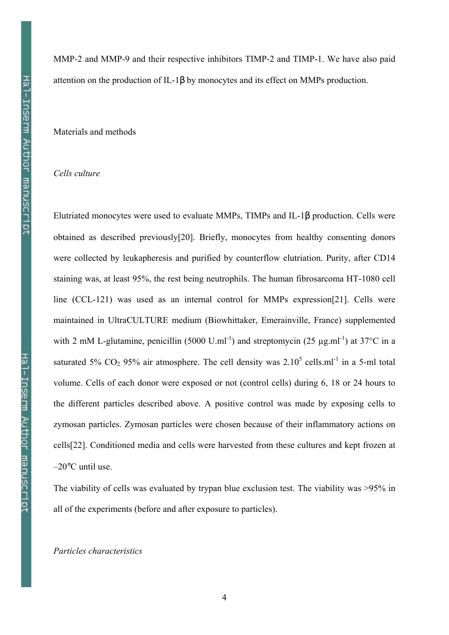MMP-2 and MMP-9 and their respective inhibitors TIMP-2 and TIMP-1. We have also paid attention on the production of IL-1β by monocytes and its effect on MMPs production.

# Materials and methods

# Cells culture

Elutriated monocytes were used to evaluate MMPs, TIMPs and IL-1β production. Cells were obtained as described previously[20]. Briefly, monocytes from healthy consenting donors were collected by leukapheresis and purified by counterflow elutriation. Purity, after CD14 staining was, at least 95%, the rest being neutrophils. The human fibrosarcoma HT-1080 cell line (CCL-121) was used as an internal control for MMPs expression[21]. Cells were maintained in UltraCULTURE medium (Biowhittaker, Emerainville, France) supplemented with 2 mM L-glutamine, penicillin (5000 U.ml<sup>-1</sup>) and streptomycin (25  $\mu$ g.ml<sup>-1</sup>) at 37<sup>o</sup>C in a saturated 5%  $CO_2$  95% air atmosphere. The cell density was  $2.10^5$  cells.ml<sup>-1</sup> in a 5-ml total volume. Cells of each donor were exposed or not (control cells) during 6, 18 or 24 hours to the different particles described above. A positive control was made by exposing cells to zymosan particles. Zymosan particles were chosen because of their inflammatory actions on cells[22]. Conditioned media and cells were harvested from these cultures and kept frozen at –20°C until use.

The viability of cells was evaluated by trypan blue exclusion test. The viability was >95% in all of the experiments (before and after exposure to particles).

### Particles characteristics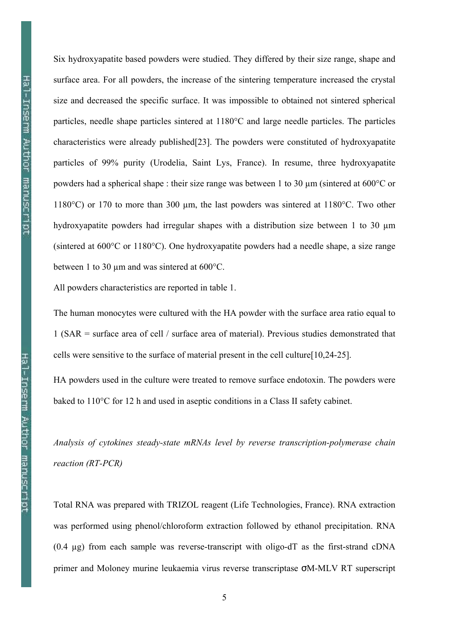Six hydroxyapatite based powders were studied. They differed by their size range, shape and surface area. For all powders, the increase of the sintering temperature increased the crystal size and decreased the specific surface. It was impossible to obtained not sintered spherical particles, needle shape particles sintered at 1180°C and large needle particles. The particles characteristics were already published[23]. The powders were constituted of hydroxyapatite particles of 99% purity (Urodelia, Saint Lys, France). In resume, three hydroxyapatite powders had a spherical shape : their size range was between 1 to 30 µm (sintered at 600°C or 1180°C) or 170 to more than 300 µm, the last powders was sintered at 1180°C. Two other hydroxyapatite powders had irregular shapes with a distribution size between 1 to 30  $\mu$ m (sintered at 600°C or 1180°C). One hydroxyapatite powders had a needle shape, a size range between 1 to 30  $\mu$ m and was sintered at 600°C.

All powders characteristics are reported in table 1.

The human monocytes were cultured with the HA powder with the surface area ratio equal to 1 (SAR = surface area of cell / surface area of material). Previous studies demonstrated that cells were sensitive to the surface of material present in the cell culture[10,24-25].

HA powders used in the culture were treated to remove surface endotoxin. The powders were baked to 110°C for 12 h and used in aseptic conditions in a Class II safety cabinet.

Analysis of cytokines steady-state mRNAs level by reverse transcription-polymerase chain reaction (RT-PCR)

Total RNA was prepared with TRIZOL reagent (Life Technologies, France). RNA extraction was performed using phenol/chloroform extraction followed by ethanol precipitation. RNA  $(0.4 \mu g)$  from each sample was reverse-transcript with oligo-dT as the first-strand cDNA primer and Moloney murine leukaemia virus reverse transcriptase σM-MLV RT superscript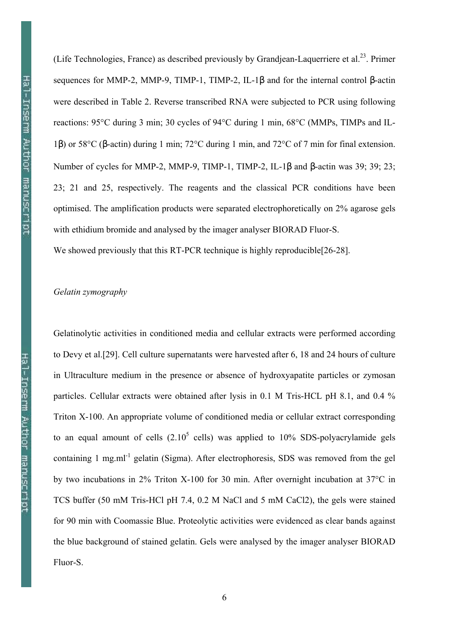(Life Technologies, France) as described previously by Grandjean-Laquerriere et al.<sup>23</sup>. Primer sequences for MMP-2, MMP-9, TIMP-1, TIMP-2, IL-1β and for the internal control β-actin were described in Table 2. Reverse transcribed RNA were subjected to PCR using following reactions: 95°C during 3 min; 30 cycles of 94°C during 1 min, 68°C (MMPs, TIMPs and IL-1β) or 58°C (β-actin) during 1 min; 72°C during 1 min, and 72°C of 7 min for final extension. Number of cycles for MMP-2, MMP-9, TIMP-1, TIMP-2, IL-1β and β-actin was 39; 39; 23; 23; 21 and 25, respectively. The reagents and the classical PCR conditions have been optimised. The amplification products were separated electrophoretically on 2% agarose gels with ethidium bromide and analysed by the imager analyser BIORAD Fluor-S. We showed previously that this RT-PCR technique is highly reproducible [26-28].

# Gelatin zymography

Gelatinolytic activities in conditioned media and cellular extracts were performed according to Devy et al.[29]. Cell culture supernatants were harvested after 6, 18 and 24 hours of culture in Ultraculture medium in the presence or absence of hydroxyapatite particles or zymosan particles. Cellular extracts were obtained after lysis in 0.1 M Tris-HCL pH 8.1, and 0.4 % Triton X-100. An appropriate volume of conditioned media or cellular extract corresponding to an equal amount of cells  $(2.10^5 \text{ cells})$  was applied to 10% SDS-polyacrylamide gels containing 1 mg.ml<sup>-1</sup> gelatin (Sigma). After electrophoresis, SDS was removed from the gel by two incubations in 2% Triton X-100 for 30 min. After overnight incubation at 37°C in TCS buffer (50 mM Tris-HCl pH 7.4, 0.2 M NaCl and 5 mM CaCl2), the gels were stained for 90 min with Coomassie Blue. Proteolytic activities were evidenced as clear bands against the blue background of stained gelatin. Gels were analysed by the imager analyser BIORAD Fluor-S.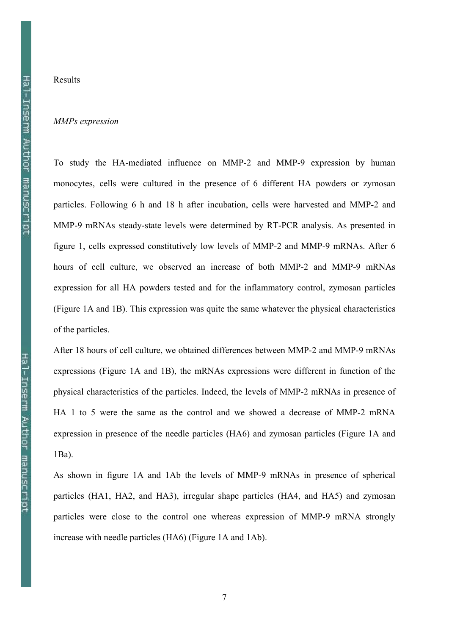# Results

#### MMPs expression

To study the HA-mediated influence on MMP-2 and MMP-9 expression by human monocytes, cells were cultured in the presence of 6 different HA powders or zymosan particles. Following 6 h and 18 h after incubation, cells were harvested and MMP-2 and MMP-9 mRNAs steady-state levels were determined by RT-PCR analysis. As presented in figure 1, cells expressed constitutively low levels of MMP-2 and MMP-9 mRNAs. After 6 hours of cell culture, we observed an increase of both MMP-2 and MMP-9 mRNAs expression for all HA powders tested and for the inflammatory control, zymosan particles (Figure 1A and 1B). This expression was quite the same whatever the physical characteristics of the particles.

After 18 hours of cell culture, we obtained differences between MMP-2 and MMP-9 mRNAs expressions (Figure 1A and 1B), the mRNAs expressions were different in function of the physical characteristics of the particles. Indeed, the levels of MMP-2 mRNAs in presence of HA 1 to 5 were the same as the control and we showed a decrease of MMP-2 mRNA expression in presence of the needle particles (HA6) and zymosan particles (Figure 1A and 1Ba).

As shown in figure 1A and 1Ab the levels of MMP-9 mRNAs in presence of spherical particles (HA1, HA2, and HA3), irregular shape particles (HA4, and HA5) and zymosan particles were close to the control one whereas expression of MMP-9 mRNA strongly increase with needle particles (HA6) (Figure 1A and 1Ab).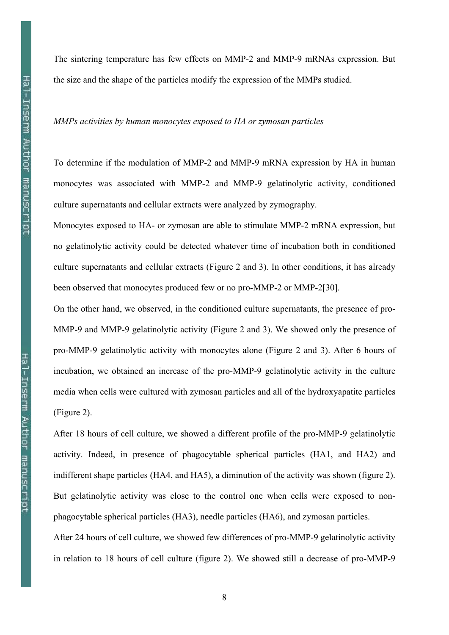The sintering temperature has few effects on MMP-2 and MMP-9 mRNAs expression. But the size and the shape of the particles modify the expression of the MMPs studied.

MMPs activities by human monocytes exposed to HA or zymosan particles

To determine if the modulation of MMP-2 and MMP-9 mRNA expression by HA in human monocytes was associated with MMP-2 and MMP-9 gelatinolytic activity, conditioned culture supernatants and cellular extracts were analyzed by zymography.

Monocytes exposed to HA- or zymosan are able to stimulate MMP-2 mRNA expression, but no gelatinolytic activity could be detected whatever time of incubation both in conditioned culture supernatants and cellular extracts (Figure 2 and 3). In other conditions, it has already been observed that monocytes produced few or no pro-MMP-2 or MMP-2[30].

On the other hand, we observed, in the conditioned culture supernatants, the presence of pro-MMP-9 and MMP-9 gelatinolytic activity (Figure 2 and 3). We showed only the presence of pro-MMP-9 gelatinolytic activity with monocytes alone (Figure 2 and 3). After 6 hours of incubation, we obtained an increase of the pro-MMP-9 gelatinolytic activity in the culture media when cells were cultured with zymosan particles and all of the hydroxyapatite particles (Figure 2).

After 18 hours of cell culture, we showed a different profile of the pro-MMP-9 gelatinolytic activity. Indeed, in presence of phagocytable spherical particles (HA1, and HA2) and indifferent shape particles (HA4, and HA5), a diminution of the activity was shown (figure 2). But gelatinolytic activity was close to the control one when cells were exposed to nonphagocytable spherical particles (HA3), needle particles (HA6), and zymosan particles.

After 24 hours of cell culture, we showed few differences of pro-MMP-9 gelatinolytic activity in relation to 18 hours of cell culture (figure 2). We showed still a decrease of pro-MMP-9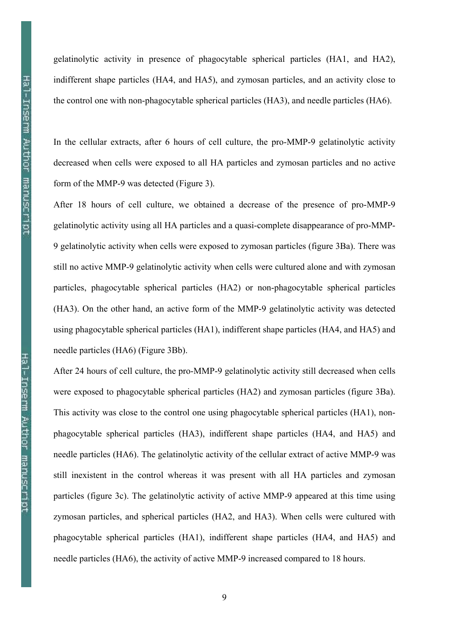gelatinolytic activity in presence of phagocytable spherical particles (HA1, and HA2), indifferent shape particles (HA4, and HA5), and zymosan particles, and an activity close to the control one with non-phagocytable spherical particles (HA3), and needle particles (HA6).

In the cellular extracts, after 6 hours of cell culture, the pro-MMP-9 gelatinolytic activity decreased when cells were exposed to all HA particles and zymosan particles and no active form of the MMP-9 was detected (Figure 3).

After 18 hours of cell culture, we obtained a decrease of the presence of pro-MMP-9 gelatinolytic activity using all HA particles and a quasi-complete disappearance of pro-MMP-9 gelatinolytic activity when cells were exposed to zymosan particles (figure 3Ba). There was still no active MMP-9 gelatinolytic activity when cells were cultured alone and with zymosan particles, phagocytable spherical particles (HA2) or non-phagocytable spherical particles (HA3). On the other hand, an active form of the MMP-9 gelatinolytic activity was detected using phagocytable spherical particles (HA1), indifferent shape particles (HA4, and HA5) and needle particles (HA6) (Figure 3Bb).

After 24 hours of cell culture, the pro-MMP-9 gelatinolytic activity still decreased when cells were exposed to phagocytable spherical particles (HA2) and zymosan particles (figure 3Ba). This activity was close to the control one using phagocytable spherical particles (HA1), nonphagocytable spherical particles (HA3), indifferent shape particles (HA4, and HA5) and needle particles (HA6). The gelatinolytic activity of the cellular extract of active MMP-9 was still inexistent in the control whereas it was present with all HA particles and zymosan particles (figure 3c). The gelatinolytic activity of active MMP-9 appeared at this time using zymosan particles, and spherical particles (HA2, and HA3). When cells were cultured with phagocytable spherical particles (HA1), indifferent shape particles (HA4, and HA5) and needle particles (HA6), the activity of active MMP-9 increased compared to 18 hours.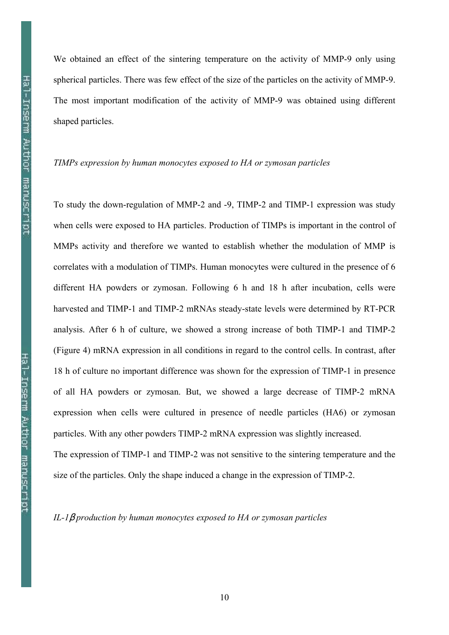We obtained an effect of the sintering temperature on the activity of MMP-9 only using spherical particles. There was few effect of the size of the particles on the activity of MMP-9. The most important modification of the activity of MMP-9 was obtained using different shaped particles.

### TIMPs expression by human monocytes exposed to HA or zymosan particles

To study the down-regulation of MMP-2 and -9, TIMP-2 and TIMP-1 expression was study when cells were exposed to HA particles. Production of TIMPs is important in the control of MMPs activity and therefore we wanted to establish whether the modulation of MMP is correlates with a modulation of TIMPs. Human monocytes were cultured in the presence of 6 different HA powders or zymosan. Following 6 h and 18 h after incubation, cells were harvested and TIMP-1 and TIMP-2 mRNAs steady-state levels were determined by RT-PCR analysis. After 6 h of culture, we showed a strong increase of both TIMP-1 and TIMP-2 (Figure 4) mRNA expression in all conditions in regard to the control cells. In contrast, after 18 h of culture no important difference was shown for the expression of TIMP-1 in presence of all HA powders or zymosan. But, we showed a large decrease of TIMP-2 mRNA expression when cells were cultured in presence of needle particles (HA6) or zymosan particles. With any other powders TIMP-2 mRNA expression was slightly increased. The expression of TIMP-1 and TIMP-2 was not sensitive to the sintering temperature and the size of the particles. Only the shape induced a change in the expression of TIMP-2.

IL-1 $\beta$  production by human monocytes exposed to HA or zymosan particles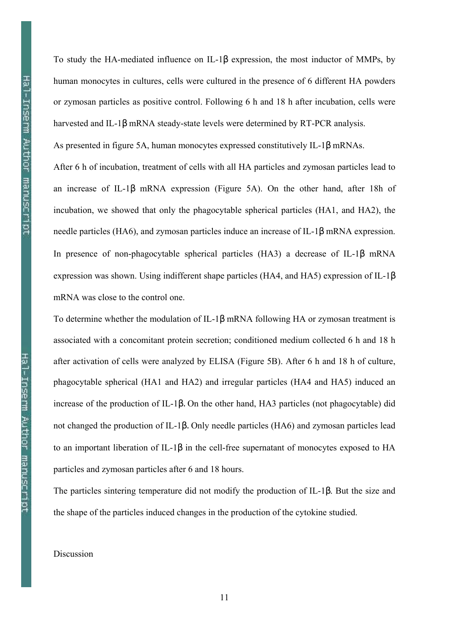To study the HA-mediated influence on IL-1β expression, the most inductor of MMPs, by human monocytes in cultures, cells were cultured in the presence of 6 different HA powders or zymosan particles as positive control. Following 6 h and 18 h after incubation, cells were harvested and IL-1β mRNA steady-state levels were determined by RT-PCR analysis.

As presented in figure 5A, human monocytes expressed constitutively IL-1β mRNAs.

After 6 h of incubation, treatment of cells with all HA particles and zymosan particles lead to an increase of IL-1β mRNA expression (Figure 5A). On the other hand, after 18h of incubation, we showed that only the phagocytable spherical particles (HA1, and HA2), the needle particles (HA6), and zymosan particles induce an increase of IL-1β mRNA expression. In presence of non-phagocytable spherical particles (HA3) a decrease of IL-1β mRNA expression was shown. Using indifferent shape particles (HA4, and HA5) expression of IL-1β mRNA was close to the control one.

To determine whether the modulation of IL-1β mRNA following HA or zymosan treatment is associated with a concomitant protein secretion; conditioned medium collected 6 h and 18 h after activation of cells were analyzed by ELISA (Figure 5B). After 6 h and 18 h of culture, phagocytable spherical (HA1 and HA2) and irregular particles (HA4 and HA5) induced an increase of the production of IL-1β. On the other hand, HA3 particles (not phagocytable) did not changed the production of IL-1β. Only needle particles (HA6) and zymosan particles lead to an important liberation of IL-1β in the cell-free supernatant of monocytes exposed to HA particles and zymosan particles after 6 and 18 hours.

The particles sintering temperature did not modify the production of IL-1β. But the size and the shape of the particles induced changes in the production of the cytokine studied.

Discussion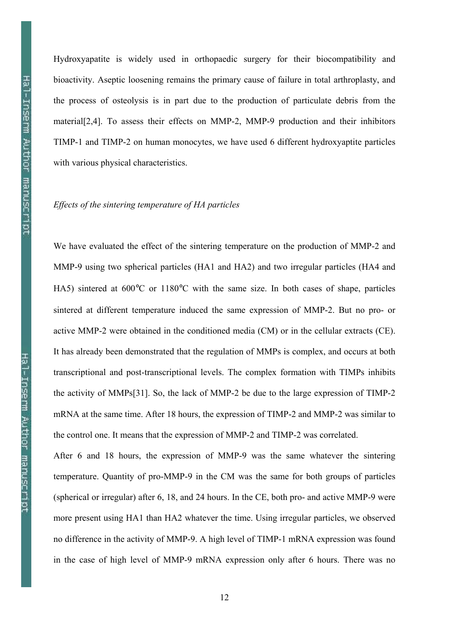Hydroxyapatite is widely used in orthopaedic surgery for their biocompatibility and bioactivity. Aseptic loosening remains the primary cause of failure in total arthroplasty, and the process of osteolysis is in part due to the production of particulate debris from the material[2,4]. To assess their effects on MMP-2, MMP-9 production and their inhibitors TIMP-1 and TIMP-2 on human monocytes, we have used 6 different hydroxyaptite particles with various physical characteristics.

# Effects of the sintering temperature of HA particles

We have evaluated the effect of the sintering temperature on the production of MMP-2 and MMP-9 using two spherical particles (HA1 and HA2) and two irregular particles (HA4 and HA5) sintered at 600°C or 1180°C with the same size. In both cases of shape, particles sintered at different temperature induced the same expression of MMP-2. But no pro- or active MMP-2 were obtained in the conditioned media (CM) or in the cellular extracts (CE). It has already been demonstrated that the regulation of MMPs is complex, and occurs at both transcriptional and post-transcriptional levels. The complex formation with TIMPs inhibits the activity of MMPs[31]. So, the lack of MMP-2 be due to the large expression of TIMP-2 mRNA at the same time. After 18 hours, the expression of TIMP-2 and MMP-2 was similar to the control one. It means that the expression of MMP-2 and TIMP-2 was correlated.

After 6 and 18 hours, the expression of MMP-9 was the same whatever the sintering temperature. Quantity of pro-MMP-9 in the CM was the same for both groups of particles (spherical or irregular) after 6, 18, and 24 hours. In the CE, both pro- and active MMP-9 were more present using HA1 than HA2 whatever the time. Using irregular particles, we observed no difference in the activity of MMP-9. A high level of TIMP-1 mRNA expression was found in the case of high level of MMP-9 mRNA expression only after 6 hours. There was no

12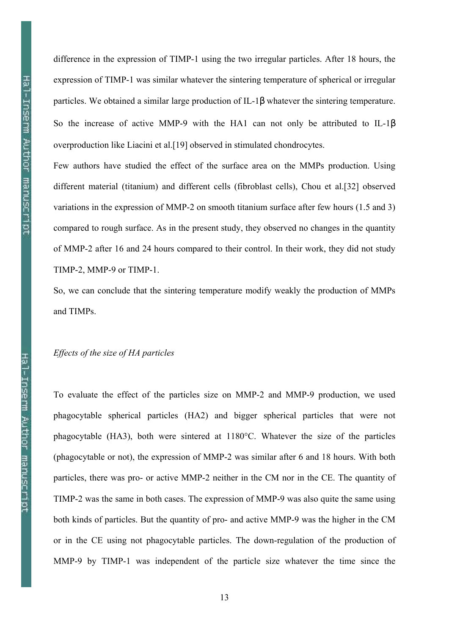difference in the expression of TIMP-1 using the two irregular particles. After 18 hours, the expression of TIMP-1 was similar whatever the sintering temperature of spherical or irregular particles. We obtained a similar large production of IL-1β whatever the sintering temperature. So the increase of active MMP-9 with the HA1 can not only be attributed to IL-1β overproduction like Liacini et al.[19] observed in stimulated chondrocytes.

Few authors have studied the effect of the surface area on the MMPs production. Using different material (titanium) and different cells (fibroblast cells), Chou et al.[32] observed variations in the expression of MMP-2 on smooth titanium surface after few hours (1.5 and 3) compared to rough surface. As in the present study, they observed no changes in the quantity of MMP-2 after 16 and 24 hours compared to their control. In their work, they did not study TIMP-2, MMP-9 or TIMP-1.

So, we can conclude that the sintering temperature modify weakly the production of MMPs and TIMPs.

# Effects of the size of HA particles

To evaluate the effect of the particles size on MMP-2 and MMP-9 production, we used phagocytable spherical particles (HA2) and bigger spherical particles that were not phagocytable (HA3), both were sintered at 1180°C. Whatever the size of the particles (phagocytable or not), the expression of MMP-2 was similar after 6 and 18 hours. With both particles, there was pro- or active MMP-2 neither in the CM nor in the CE. The quantity of TIMP-2 was the same in both cases. The expression of MMP-9 was also quite the same using both kinds of particles. But the quantity of pro- and active MMP-9 was the higher in the CM or in the CE using not phagocytable particles. The down-regulation of the production of MMP-9 by TIMP-1 was independent of the particle size whatever the time since the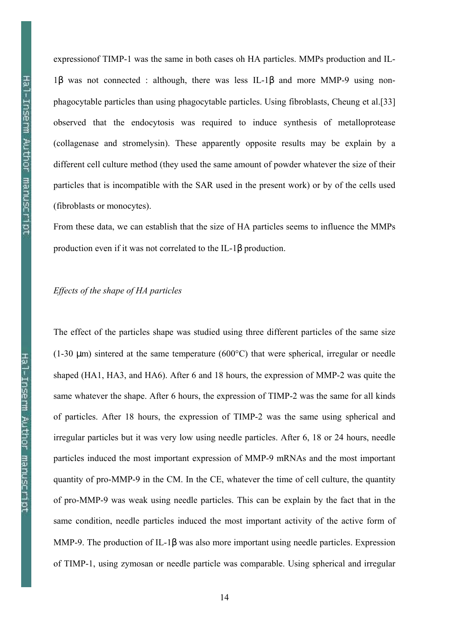expressionof TIMP-1 was the same in both cases oh HA particles. MMPs production and IL-1β was not connected : although, there was less IL-1β and more MMP-9 using nonphagocytable particles than using phagocytable particles. Using fibroblasts, Cheung et al.[33] observed that the endocytosis was required to induce synthesis of metalloprotease (collagenase and stromelysin). These apparently opposite results may be explain by a different cell culture method (they used the same amount of powder whatever the size of their particles that is incompatible with the SAR used in the present work) or by of the cells used (fibroblasts or monocytes).

From these data, we can establish that the size of HA particles seems to influence the MMPs production even if it was not correlated to the IL-1β production.

# Effects of the shape of HA particles

The effect of the particles shape was studied using three different particles of the same size (1-30  $\mu$ m) sintered at the same temperature (600 $^{\circ}$ C) that were spherical, irregular or needle shaped (HA1, HA3, and HA6). After 6 and 18 hours, the expression of MMP-2 was quite the same whatever the shape. After 6 hours, the expression of TIMP-2 was the same for all kinds of particles. After 18 hours, the expression of TIMP-2 was the same using spherical and irregular particles but it was very low using needle particles. After 6, 18 or 24 hours, needle particles induced the most important expression of MMP-9 mRNAs and the most important quantity of pro-MMP-9 in the CM. In the CE, whatever the time of cell culture, the quantity of pro-MMP-9 was weak using needle particles. This can be explain by the fact that in the same condition, needle particles induced the most important activity of the active form of MMP-9. The production of IL-1β was also more important using needle particles. Expression of TIMP-1, using zymosan or needle particle was comparable. Using spherical and irregular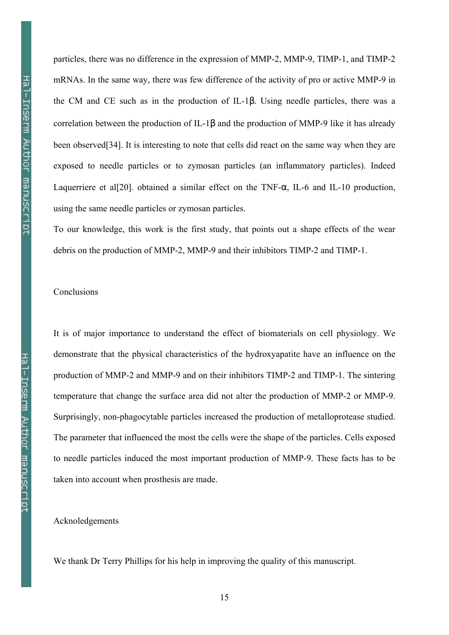particles, there was no difference in the expression of MMP-2, MMP-9, TIMP-1, and TIMP-2 mRNAs. In the same way, there was few difference of the activity of pro or active MMP-9 in the CM and CE such as in the production of IL-1β. Using needle particles, there was a correlation between the production of IL-1β and the production of MMP-9 like it has already been observed[34]. It is interesting to note that cells did react on the same way when they are exposed to needle particles or to zymosan particles (an inflammatory particles). Indeed Laquerriere et al[20]. obtained a similar effect on the TNF-α, IL-6 and IL-10 production, using the same needle particles or zymosan particles.

To our knowledge, this work is the first study, that points out a shape effects of the wear debris on the production of MMP-2, MMP-9 and their inhibitors TIMP-2 and TIMP-1.

# **Conclusions**

It is of major importance to understand the effect of biomaterials on cell physiology. We demonstrate that the physical characteristics of the hydroxyapatite have an influence on the production of MMP-2 and MMP-9 and on their inhibitors TIMP-2 and TIMP-1. The sintering temperature that change the surface area did not alter the production of MMP-2 or MMP-9. Surprisingly, non-phagocytable particles increased the production of metalloprotease studied. The parameter that influenced the most the cells were the shape of the particles. Cells exposed to needle particles induced the most important production of MMP-9. These facts has to be taken into account when prosthesis are made.

Acknoledgements

We thank Dr Terry Phillips for his help in improving the quality of this manuscript.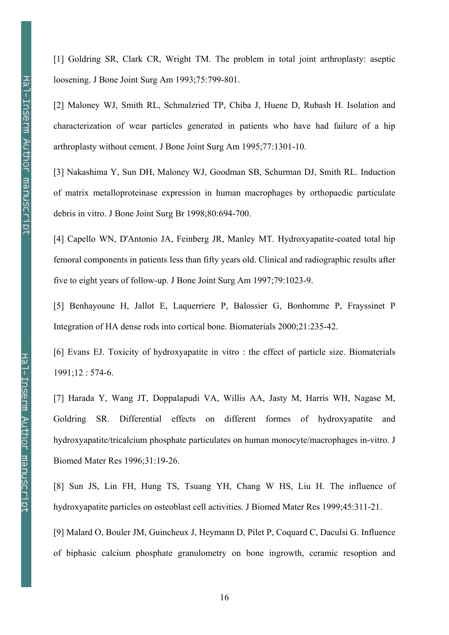[1] Goldring SR, Clark CR, Wright TM. The problem in total joint arthroplasty: aseptic loosening. J Bone Joint Surg Am 1993;75:799-801.

[2] Maloney WJ, Smith RL, Schmalzried TP, Chiba J, Huene D, Rubash H. Isolation and characterization of wear particles generated in patients who have had failure of a hip arthroplasty without cement. J Bone Joint Surg Am 1995;77:1301-10.

[3] Nakashima Y, Sun DH, Maloney WJ, Goodman SB, Schurman DJ, Smith RL. Induction of matrix metalloproteinase expression in human macrophages by orthopaedic particulate debris in vitro. J Bone Joint Surg Br 1998;80:694-700.

[4] Capello WN, D'Antonio JA, Feinberg JR, Manley MT. Hydroxyapatite-coated total hip femoral components in patients less than fifty years old. Clinical and radiographic results after five to eight years of follow-up. J Bone Joint Surg Am 1997;79:1023-9.

[5] Benhayoune H, Jallot E, Laquerriere P, Balossier G, Bonhomme P, Frayssinet P Integration of HA dense rods into cortical bone. Biomaterials 2000;21:235-42.

[6] Evans EJ. Toxicity of hydroxyapatite in vitro : the effect of particle size. Biomaterials 1991;12 : 574-6.

[7] Harada Y, Wang JT, Doppalapudi VA, Willis AA, Jasty M, Harris WH, Nagase M, Goldring SR. Differential effects on different formes of hydroxyapatite and hydroxyapatite/tricalcium phosphate particulates on human monocyte/macrophages in-vitro. J Biomed Mater Res 1996;31:19-26.

[8] Sun JS, Lin FH, Hung TS, Tsuang YH, Chang W HS, Liu H. The influence of hydroxyapatite particles on osteoblast cell activities. J Biomed Mater Res 1999;45:311-21.

[9] Malard O, Bouler JM, Guincheux J, Heymann D, Pilet P, Coquard C, Daculsi G. Influence of biphasic calcium phosphate granulometry on bone ingrowth, ceramic resoption and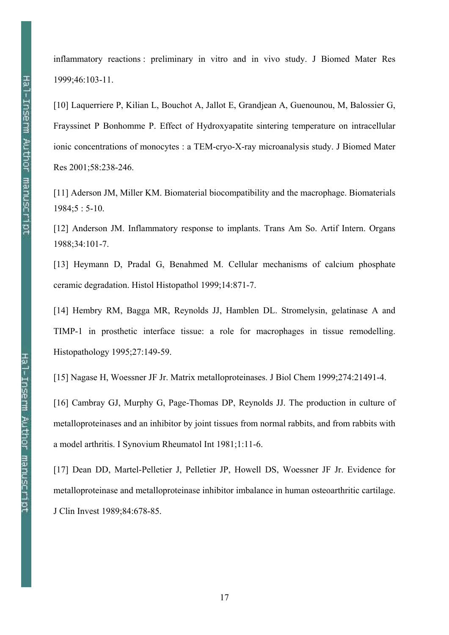inflammatory reactions : preliminary in vitro and in vivo study. J Biomed Mater Res 1999;46:103-11.

[10] Laquerriere P, Kilian L, Bouchot A, Jallot E, Grandjean A, Guenounou, M, Balossier G, Frayssinet P Bonhomme P. Effect of Hydroxyapatite sintering temperature on intracellular ionic concentrations of monocytes : a TEM-cryo-X-ray microanalysis study. J Biomed Mater Res 2001;58:238-246.

[11] Aderson JM, Miller KM. Biomaterial biocompatibility and the macrophage. Biomaterials 1984;5 : 5-10.

[12] Anderson JM. Inflammatory response to implants. Trans Am So. Artif Intern. Organs 1988;34:101-7.

[13] Heymann D, Pradal G, Benahmed M. Cellular mechanisms of calcium phosphate ceramic degradation. Histol Histopathol 1999;14:871-7.

[14] Hembry RM, Bagga MR, Reynolds JJ, Hamblen DL. Stromelysin, gelatinase A and TIMP-1 in prosthetic interface tissue: a role for macrophages in tissue remodelling. Histopathology 1995;27:149-59.

[15] Nagase H, Woessner JF Jr. Matrix metalloproteinases. J Biol Chem 1999;274:21491-4.

[16] Cambray GJ, Murphy G, Page-Thomas DP, Reynolds JJ. The production in culture of metalloproteinases and an inhibitor by joint tissues from normal rabbits, and from rabbits with a model arthritis. I Synovium Rheumatol Int 1981;1:11-6.

[17] Dean DD, Martel-Pelletier J, Pelletier JP, Howell DS, Woessner JF Jr. Evidence for metalloproteinase and metalloproteinase inhibitor imbalance in human osteoarthritic cartilage. J Clin Invest 1989;84:678-85.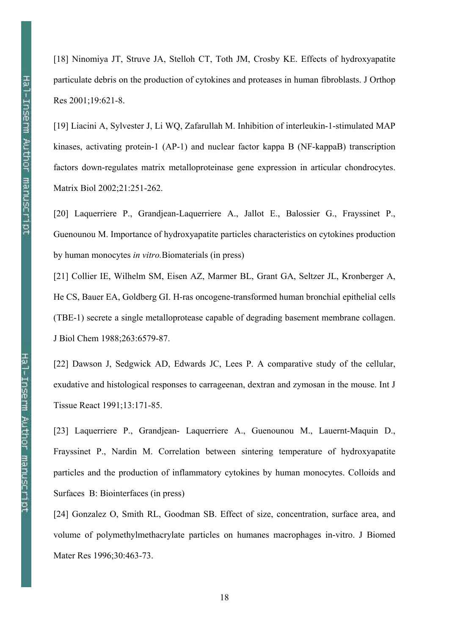[18] Ninomiya JT, Struve JA, Stelloh CT, Toth JM, Crosby KE. Effects of hydroxyapatite particulate debris on the production of cytokines and proteases in human fibroblasts. J Orthop Res 2001;19:621-8.

[19] Liacini A, Sylvester J, Li WQ, Zafarullah M. Inhibition of interleukin-1-stimulated MAP kinases, activating protein-1 (AP-1) and nuclear factor kappa B (NF-kappaB) transcription factors down-regulates matrix metalloproteinase gene expression in articular chondrocytes. Matrix Biol 2002;21:251-262.

[20] Laquerriere P., Grandjean-Laquerriere A., Jallot E., Balossier G., Frayssinet P., Guenounou M. Importance of hydroxyapatite particles characteristics on cytokines production by human monocytes in vitro.Biomaterials (in press)

[21] Collier IE, Wilhelm SM, Eisen AZ, Marmer BL, Grant GA, Seltzer JL, Kronberger A, He CS, Bauer EA, Goldberg GI. H-ras oncogene-transformed human bronchial epithelial cells (TBE-1) secrete a single metalloprotease capable of degrading basement membrane collagen. J Biol Chem 1988;263:6579-87.

[22] Dawson J, Sedgwick AD, Edwards JC, Lees P. A comparative study of the cellular, exudative and histological responses to carrageenan, dextran and zymosan in the mouse. Int J Tissue React 1991;13:171-85.

[23] Laquerriere P., Grandjean- Laquerriere A., Guenounou M., Lauernt-Maquin D., Frayssinet P., Nardin M. Correlation between sintering temperature of hydroxyapatite particles and the production of inflammatory cytokines by human monocytes. Colloids and Surfaces B: Biointerfaces (in press)

[24] Gonzalez O, Smith RL, Goodman SB. Effect of size, concentration, surface area, and volume of polymethylmethacrylate particles on humanes macrophages in-vitro. J Biomed Mater Res 1996;30:463-73.

18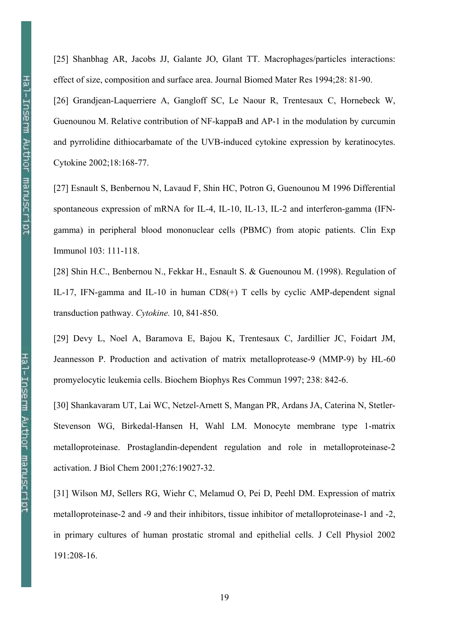[25] Shanbhag AR, Jacobs JJ, Galante JO, Glant TT. Macrophages/particles interactions: effect of size, composition and surface area. Journal Biomed Mater Res 1994;28: 81-90.

[26] Grandjean-Laquerriere A, Gangloff SC, Le Naour R, Trentesaux C, Hornebeck W, Guenounou M. Relative contribution of NF-kappaB and AP-1 in the modulation by curcumin and pyrrolidine dithiocarbamate of the UVB-induced cytokine expression by keratinocytes. Cytokine 2002;18:168-77.

[27] Esnault S, Benbernou N, Lavaud F, Shin HC, Potron G, Guenounou M 1996 Differential spontaneous expression of mRNA for IL-4, IL-10, IL-13, IL-2 and interferon-gamma (IFNgamma) in peripheral blood mononuclear cells (PBMC) from atopic patients. Clin Exp Immunol 103: 111-118.

[28] Shin H.C., Benbernou N., Fekkar H., Esnault S. & Guenounou M. (1998). Regulation of IL-17, IFN-gamma and IL-10 in human CD8(+) T cells by cyclic AMP-dependent signal transduction pathway. Cytokine. 10, 841-850.

[29] Devy L, Noel A, Baramova E, Bajou K, Trentesaux C, Jardillier JC, Foidart JM, Jeannesson P. Production and activation of matrix metalloprotease-9 (MMP-9) by HL-60 promyelocytic leukemia cells. Biochem Biophys Res Commun 1997; 238: 842-6.

[30] Shankavaram UT, Lai WC, Netzel-Arnett S, Mangan PR, Ardans JA, Caterina N, Stetler-Stevenson WG, Birkedal-Hansen H, Wahl LM. Monocyte membrane type 1-matrix metalloproteinase. Prostaglandin-dependent regulation and role in metalloproteinase-2 activation. J Biol Chem 2001;276:19027-32.

[31] Wilson MJ, Sellers RG, Wiehr C, Melamud O, Pei D, Peehl DM. Expression of matrix metalloproteinase-2 and -9 and their inhibitors, tissue inhibitor of metalloproteinase-1 and -2, in primary cultures of human prostatic stromal and epithelial cells. J Cell Physiol 2002 191:208-16.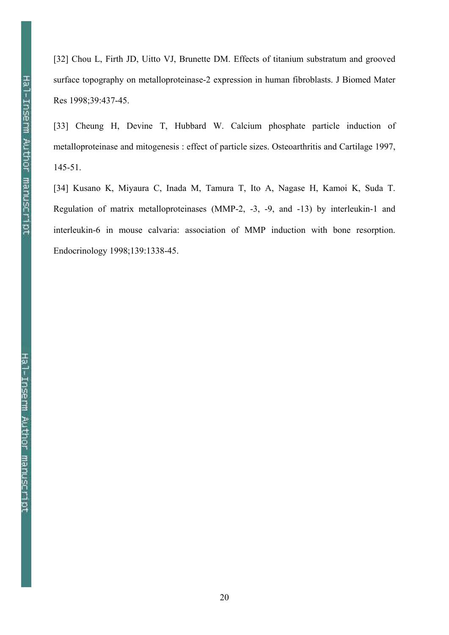[32] Chou L, Firth JD, Uitto VJ, Brunette DM. Effects of titanium substratum and grooved surface topography on metalloproteinase-2 expression in human fibroblasts. J Biomed Mater Res 1998;39:437-45.

[33] Cheung H, Devine T, Hubbard W. Calcium phosphate particle induction of metalloproteinase and mitogenesis : effect of particle sizes. Osteoarthritis and Cartilage 1997, 145-51.

[34] Kusano K, Miyaura C, Inada M, Tamura T, Ito A, Nagase H, Kamoi K, Suda T. Regulation of matrix metalloproteinases (MMP-2, -3, -9, and -13) by interleukin-1 and interleukin-6 in mouse calvaria: association of MMP induction with bone resorption. Endocrinology 1998;139:1338-45.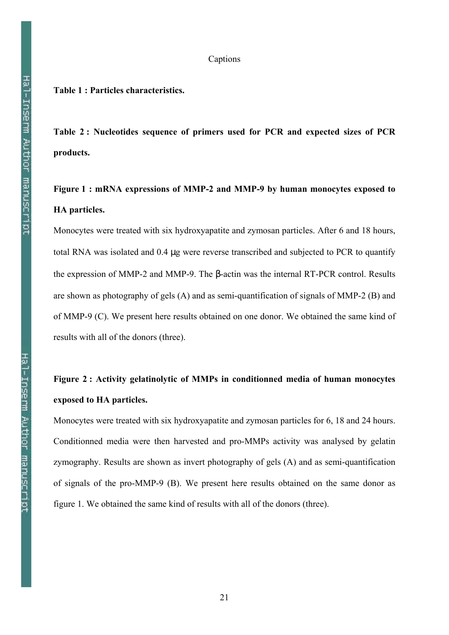# Captions

# Table 1 : Particles characteristics.

Table 2 : Nucleotides sequence of primers used for PCR and expected sizes of PCR products.

# Figure 1 : mRNA expressions of MMP-2 and MMP-9 by human monocytes exposed to HA particles.

Monocytes were treated with six hydroxyapatite and zymosan particles. After 6 and 18 hours, total RNA was isolated and 0.4 µg were reverse transcribed and subjected to PCR to quantify the expression of MMP-2 and MMP-9. The β-actin was the internal RT-PCR control. Results are shown as photography of gels (A) and as semi-quantification of signals of MMP-2 (B) and of MMP-9 (C). We present here results obtained on one donor. We obtained the same kind of results with all of the donors (three).

# Figure 2 : Activity gelatinolytic of MMPs in conditionned media of human monocytes exposed to HA particles.

Monocytes were treated with six hydroxyapatite and zymosan particles for 6, 18 and 24 hours. Conditionned media were then harvested and pro-MMPs activity was analysed by gelatin zymography. Results are shown as invert photography of gels (A) and as semi-quantification of signals of the pro-MMP-9 (B). We present here results obtained on the same donor as figure 1. We obtained the same kind of results with all of the donors (three).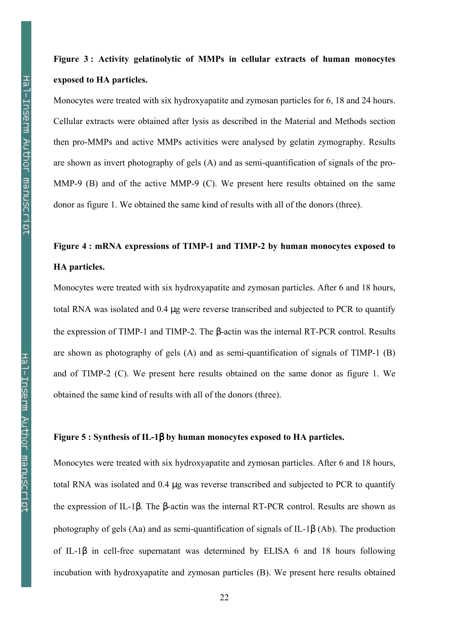# Figure 3 : Activity gelatinolytic of MMPs in cellular extracts of human monocytes exposed to HA particles.

Monocytes were treated with six hydroxyapatite and zymosan particles for 6, 18 and 24 hours. Cellular extracts were obtained after lysis as described in the Material and Methods section then pro-MMPs and active MMPs activities were analysed by gelatin zymography. Results are shown as invert photography of gels (A) and as semi-quantification of signals of the pro-MMP-9 (B) and of the active MMP-9 (C). We present here results obtained on the same donor as figure 1. We obtained the same kind of results with all of the donors (three).

# Figure 4 : mRNA expressions of TIMP-1 and TIMP-2 by human monocytes exposed to HA particles.

Monocytes were treated with six hydroxyapatite and zymosan particles. After 6 and 18 hours, total RNA was isolated and 0.4 µg were reverse transcribed and subjected to PCR to quantify the expression of TIMP-1 and TIMP-2. The β-actin was the internal RT-PCR control. Results are shown as photography of gels (A) and as semi-quantification of signals of TIMP-1 (B) and of TIMP-2 (C). We present here results obtained on the same donor as figure 1. We obtained the same kind of results with all of the donors (three).

# Figure 5 : Synthesis of IL-1β by human monocytes exposed to HA particles.

Monocytes were treated with six hydroxyapatite and zymosan particles. After 6 and 18 hours, total RNA was isolated and 0.4 µg was reverse transcribed and subjected to PCR to quantify the expression of IL-1β. The β-actin was the internal RT-PCR control. Results are shown as photography of gels (Aa) and as semi-quantification of signals of IL-1β (Ab). The production of IL-1β in cell-free supernatant was determined by ELISA 6 and 18 hours following incubation with hydroxyapatite and zymosan particles (B). We present here results obtained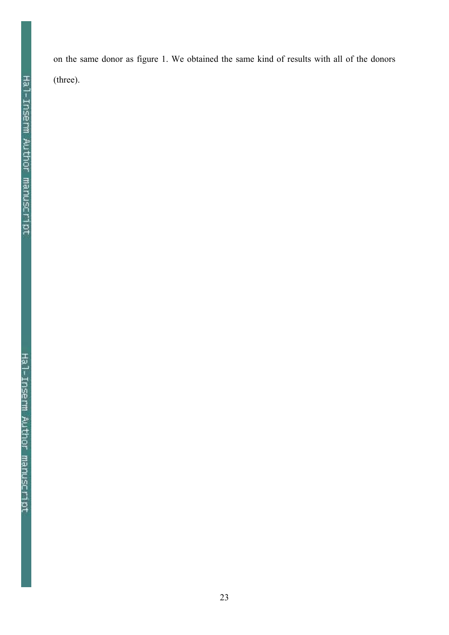on the same donor as figure 1. We obtained the same kind of results with all of the donors (three).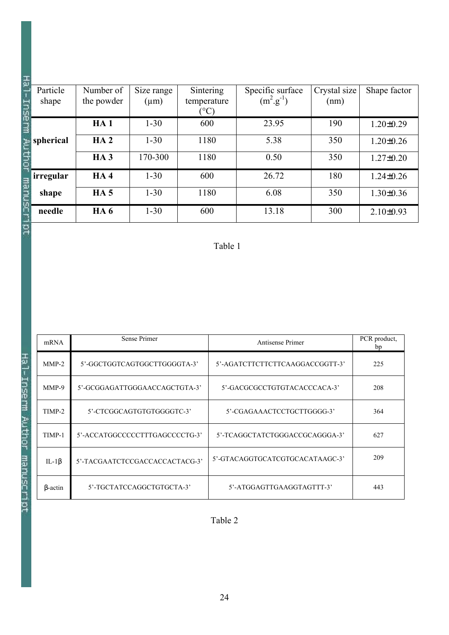| ு<br>Inse      | Particle<br>shape | Number of<br>the powder | Size range<br>$(\mu m)$ | Sintering<br>temperature<br>$\rm ^{\circ}C$ | Specific surface<br>$(m^2.g^{-1})$ | Crystal size<br>(nm) | Shape factor    |
|----------------|-------------------|-------------------------|-------------------------|---------------------------------------------|------------------------------------|----------------------|-----------------|
| 글              |                   | HA1                     | $1 - 30$                | 600                                         | 23.95                              | 190                  | $1.20 \pm 0.29$ |
|                | spherical         | HA2                     | $1 - 30$                | 1180                                        | 5.38                               | 350                  | $1.20 \pm 0.26$ |
|                |                   | HA <sub>3</sub>         | 170-300                 | 1180                                        | 0.50                               | 350                  | $1.27 \pm 0.20$ |
|                | <i>irregular</i>  | HA4                     | $1 - 30$                | 600                                         | 26.72                              | 180                  | $1.24 \pm 0.26$ |
| manusc         | shape             | HA <sub>5</sub>         | $1 - 30$                | 1180                                        | 6.08                               | 350                  | $1.30 \pm 0.36$ |
|                | needle            | <b>HA6</b>              | $1 - 30$                | 600                                         | 13.18                              | 300                  | $2.10\pm0.93$   |
| $\overline{a}$ |                   |                         |                         |                                             |                                    |                      |                 |

# Table 1

| mRNA           | Sense Primer                   | Antisense Primer                | PCR product,<br>bp |
|----------------|--------------------------------|---------------------------------|--------------------|
| $MMP-2$        | 5'-GGCTGGTCAGTGGCTTGGGGTA-3'   | 5'-AGATCTTCTTCTTCAAGGACCGGTT-3' | 225                |
| MMP-9          | 5'-GCGGAGATTGGGAACCAGCTGTA-3'  | 5'-GACGCGCCTGTGTACACCCACA-3'    | 208                |
| TIMP-2         | 5'-CTCGGCAGTGTGTGGGGTC-3'      | 5'-CGAGAAACTCCTGCTTGGGG-3'      | 364                |
| TIMP-1         | 5'-ACCATGGCCCCCTTTGAGCCCCTG-3' | 5'-TCAGGCTATCTGGGACCGCAGGGA-3'  | 627                |
| IL-1 $\beta$   | 5'-TACGAATCTCCGACCACCACTACG-3' | 5'-GTACAGGTGCATCGTGCACATAAGC-3' | 209                |
| $\beta$ -actin | 5'-TGCTATCCAGGCTGTGCTA-3'      | 5'-ATGGAGTTGAAGGTAGTTT-3'       | 443                |

Table 2

工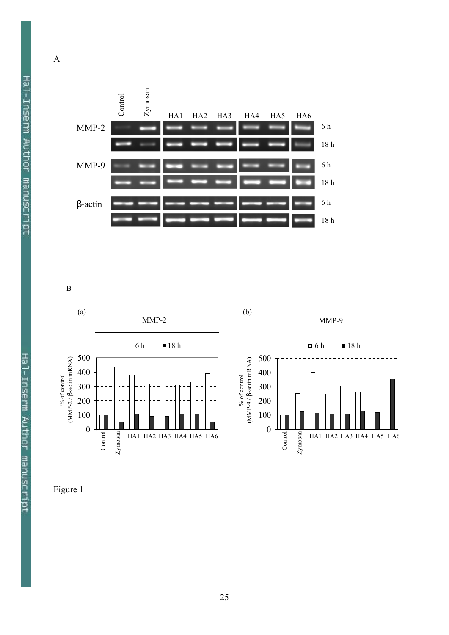

B



Figure 1

Hal-Inserm Author manuscript

A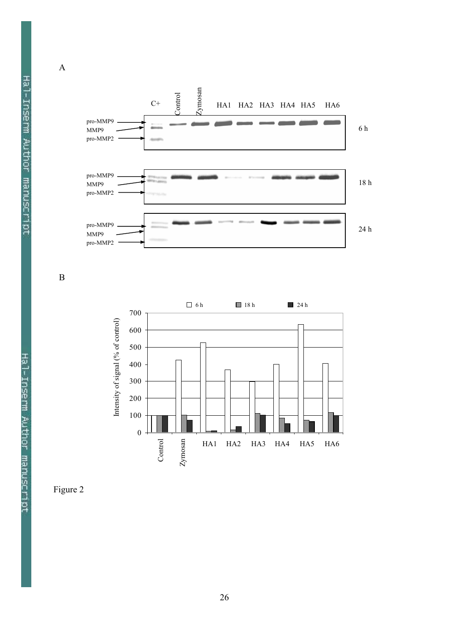





B

A



Figure 2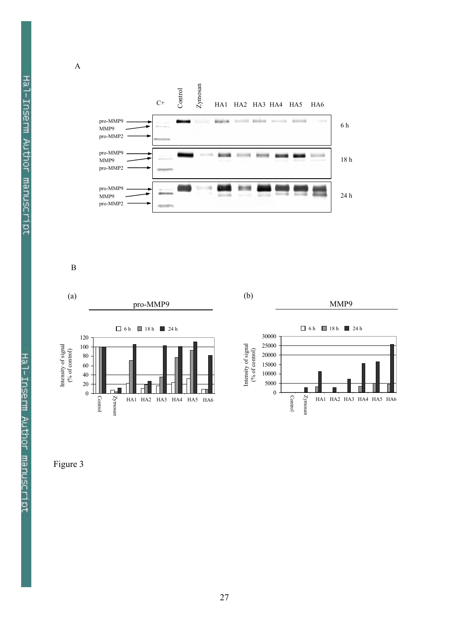

B

A



Figure 3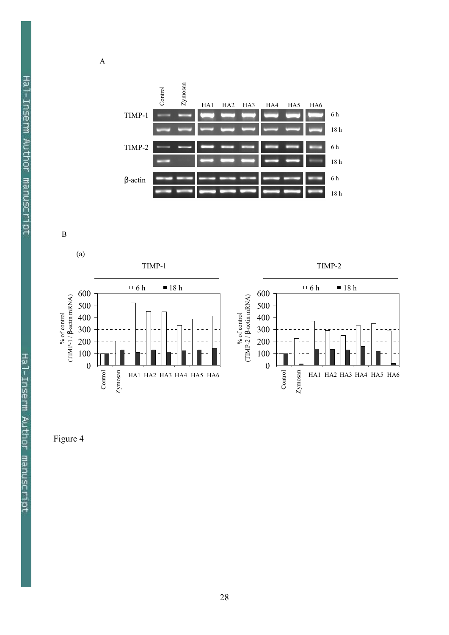

B

A



Figure 4